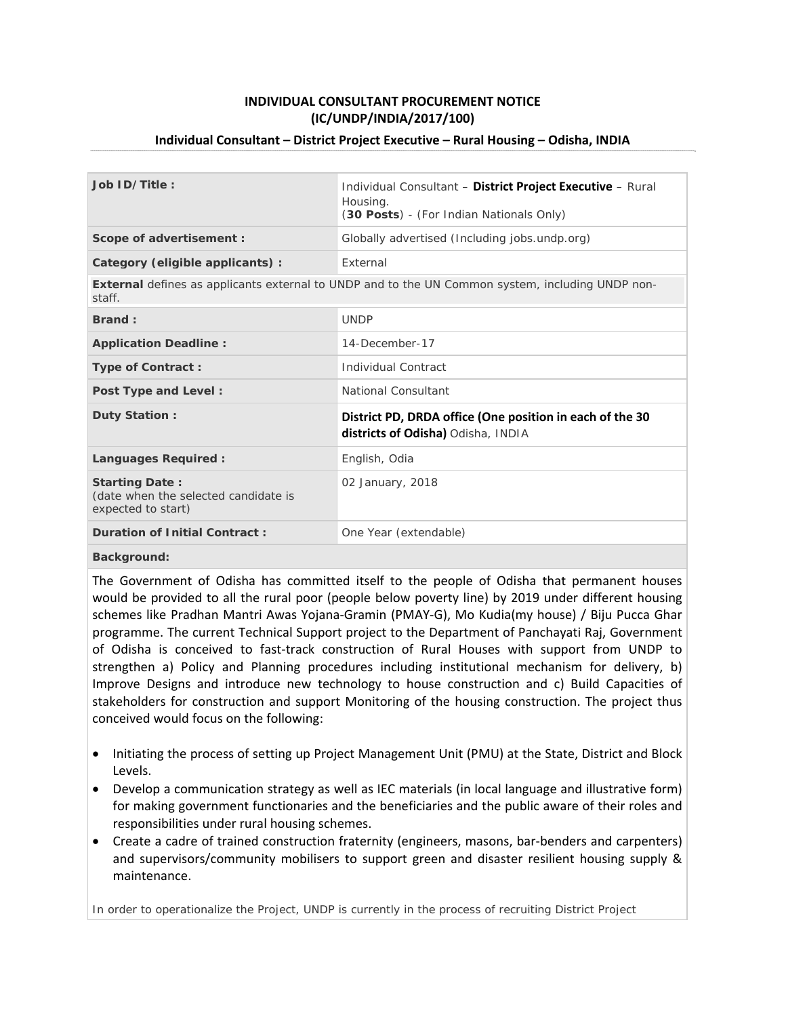# **INDIVIDUAL CONSULTANT PROCUREMENT NOTICE (IC/UNDP/INDIA/2017/100)**

## **Individual Consultant – District Project Executive – Rural Housing – Odisha, INDIA**

| Job ID/Title:                                                                                              | Individual Consultant - District Project Executive - Rural<br>Housing.<br>(30 Posts) - (For Indian Nationals Only) |
|------------------------------------------------------------------------------------------------------------|--------------------------------------------------------------------------------------------------------------------|
| Scope of advertisement :                                                                                   | Globally advertised (Including jobs.undp.org)                                                                      |
| Category (eligible applicants) :                                                                           | External                                                                                                           |
| External defines as applicants external to UNDP and to the UN Common system, including UNDP non-<br>staff. |                                                                                                                    |
| Brand:                                                                                                     | <b>UNDP</b>                                                                                                        |
| <b>Application Deadline:</b>                                                                               | 14-December-17                                                                                                     |
| <b>Type of Contract:</b>                                                                                   | Individual Contract                                                                                                |
| Post Type and Level:                                                                                       | National Consultant                                                                                                |
| Duty Station:                                                                                              | District PD, DRDA office (One position in each of the 30<br>districts of Odisha) Odisha, INDIA                     |
| Languages Required:                                                                                        | English, Odia                                                                                                      |
| <b>Starting Date:</b><br>(date when the selected candidate is<br>expected to start)                        | 02 January, 2018                                                                                                   |
| <b>Duration of Initial Contract:</b>                                                                       | One Year (extendable)                                                                                              |
| Doolcamacinaal.                                                                                            |                                                                                                                    |

**Background:**

The Government of Odisha has committed itself to the people of Odisha that permanent houses would be provided to all the rural poor (people below poverty line) by 2019 under different housing schemes like Pradhan Mantri Awas Yojana‐Gramin (PMAY‐G), Mo Kudia(my house) / Biju Pucca Ghar programme. The current Technical Support project to the Department of Panchayati Raj, Government of Odisha is conceived to fast-track construction of Rural Houses with support from UNDP to strengthen a) Policy and Planning procedures including institutional mechanism for delivery, b) Improve Designs and introduce new technology to house construction and c) Build Capacities of stakeholders for construction and support Monitoring of the housing construction. The project thus conceived would focus on the following:

- Initiating the process of setting up Project Management Unit (PMU) at the State, District and Block Levels.
- Develop a communication strategy as well as IEC materials (in local language and illustrative form) for making government functionaries and the beneficiaries and the public aware of their roles and responsibilities under rural housing schemes.
- Create a cadre of trained construction fraternity (engineers, masons, bar-benders and carpenters) and supervisors/community mobilisers to support green and disaster resilient housing supply & maintenance.

In order to operationalize the Project, UNDP is currently in the process of recruiting District Project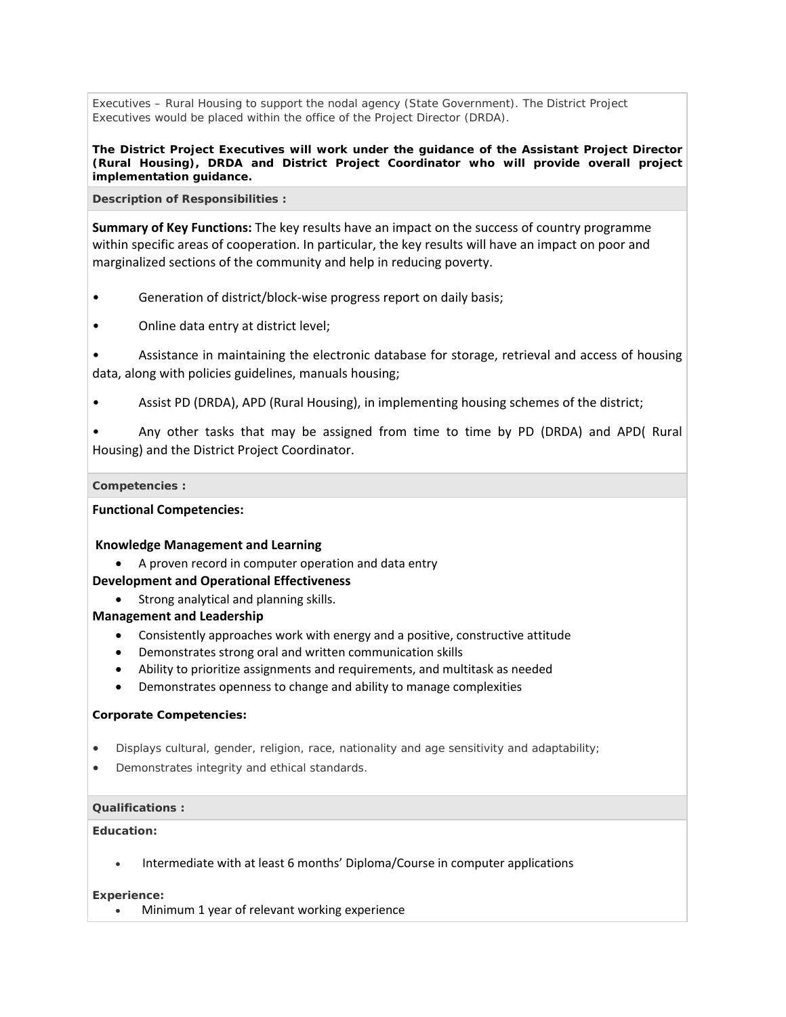Executives – Rural Housing to support the nodal agency (State Government). The District Project Executives would be placed within the office of the Project Director (DRDA).

**The District Project Executives will work under the guidance of the Assistant Project Director (Rural Housing), DRDA and District Project Coordinator who will provide overall project implementation guidance.**

**Description of Responsibilities :**

**Summary of Key Functions:** The key results have an impact on the success of country programme within specific areas of cooperation. In particular, the key results will have an impact on poor and marginalized sections of the community and help in reducing poverty.

- Generation of district/block-wise progress report on daily basis;
- Online data entry at district level;

• Assistance in maintaining the electronic database for storage, retrieval and access of housing data, along with policies guidelines, manuals housing;

• Assist PD (DRDA), APD (Rural Housing), in implementing housing schemes of the district;

• Any other tasks that may be assigned from time to time by PD (DRDA) and APD( Rural Housing) and the District Project Coordinator.

#### **Competencies :**

**Functional Competencies:** 

## **Knowledge Management and Learning**

A proven record in computer operation and data entry

## **Development and Operational Effectiveness**

• Strong analytical and planning skills.

#### **Management and Leadership**

- Consistently approaches work with energy and a positive, constructive attitude
- Demonstrates strong oral and written communication skills
- Ability to prioritize assignments and requirements, and multitask as needed
- Demonstrates openness to change and ability to manage complexities

### **Corporate Competencies:**

- Displays cultural, gender, religion, race, nationality and age sensitivity and adaptability;
- Demonstrates integrity and ethical standards.

#### **Qualifications :**

## **Education:**

Intermediate with at least 6 months' Diploma/Course in computer applications

#### **Experience:**

Minimum 1 year of relevant working experience